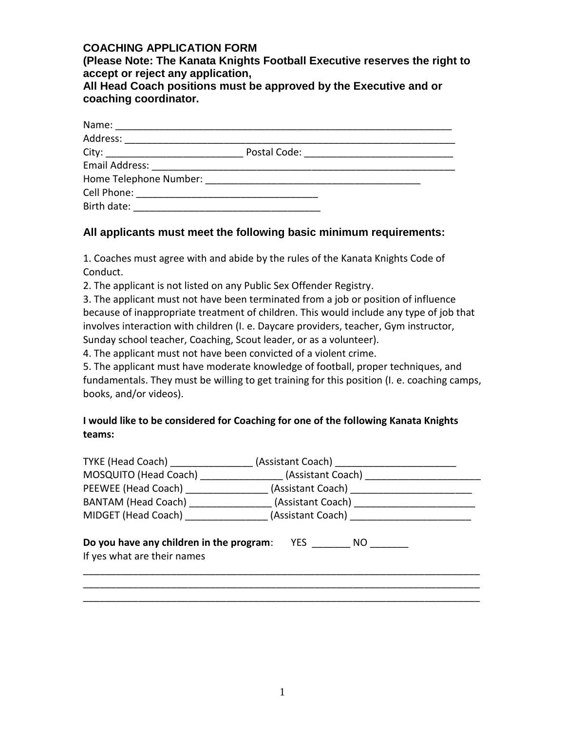## **COACHING APPLICATION FORM**

**(Please Note: The Kanata Knights Football Executive reserves the right to accept or reject any application,**

**All Head Coach positions must be approved by the Executive and or coaching coordinator.**

| Name:                                      |              |  |
|--------------------------------------------|--------------|--|
| Address: _________________________________ |              |  |
|                                            | Postal Code: |  |
|                                            |              |  |
| Home Telephone Number:                     |              |  |
| Cell Phone:                                |              |  |
| Birth date:                                |              |  |

## **All applicants must meet the following basic minimum requirements:**

1. Coaches must agree with and abide by the rules of the Kanata Knights Code of Conduct.

2. The applicant is not listed on any Public Sex Offender Registry.

3. The applicant must not have been terminated from a job or position of influence because of inappropriate treatment of children. This would include any type of job that involves interaction with children (I. e. Daycare providers, teacher, Gym instructor, Sunday school teacher, Coaching, Scout leader, or as a volunteer).

4. The applicant must not have been convicted of a violent crime.

5. The applicant must have moderate knowledge of football, proper techniques, and fundamentals. They must be willing to get training for this position (I. e. coaching camps, books, and/or videos).

# **I would like to be considered for Coaching for one of the following Kanata Knights teams:**

| TYKE (Head Coach) _______________        |                                                                                  |
|------------------------------------------|----------------------------------------------------------------------------------|
|                                          | MOSQUITO (Head Coach) ________________(Assistant Coach) ________________________ |
|                                          | PEEWEE (Head Coach) ____________________(Assistant Coach) ______________________ |
|                                          | BANTAM (Head Coach) _________________(Assistant Coach) _________________________ |
|                                          | MIDGET (Head Coach) __________________(Assistant Coach) ________________________ |
|                                          |                                                                                  |
| Do you have any children in the program: | <b>YES</b><br>NO.                                                                |
| If yes what are their names              |                                                                                  |
|                                          |                                                                                  |
|                                          |                                                                                  |

\_\_\_\_\_\_\_\_\_\_\_\_\_\_\_\_\_\_\_\_\_\_\_\_\_\_\_\_\_\_\_\_\_\_\_\_\_\_\_\_\_\_\_\_\_\_\_\_\_\_\_\_\_\_\_\_\_\_\_\_\_\_\_\_\_\_\_\_\_\_\_\_